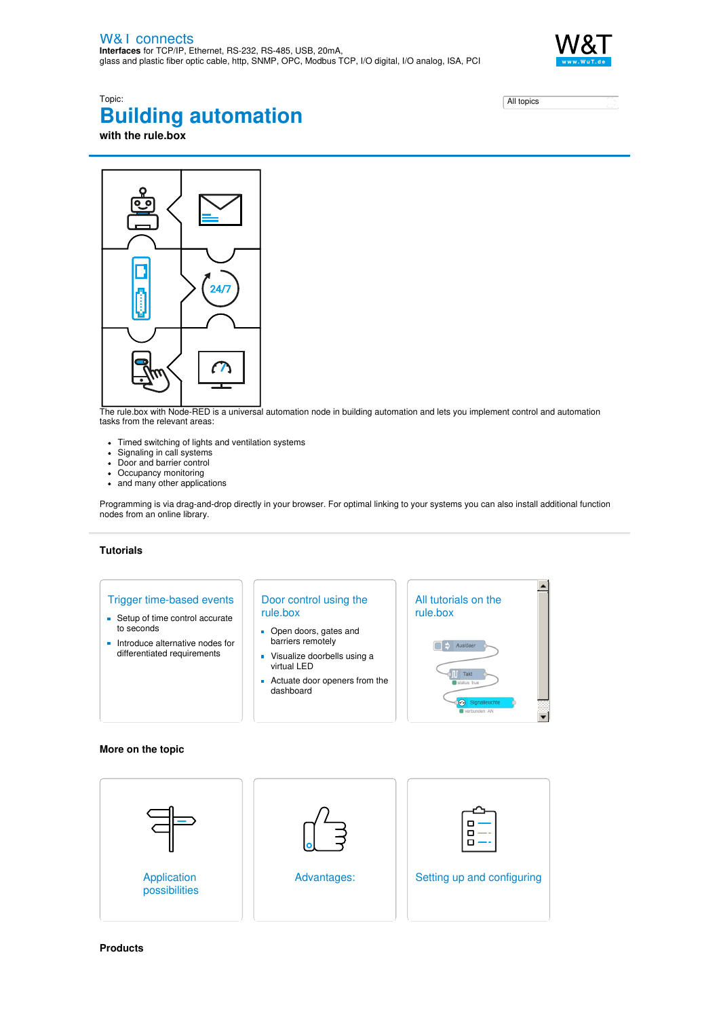

# Topic: **Building automation with the rule.box**

| All topics |  |
|------------|--|

 $24I$ 

The rule.box with Node-RED is a universal automation node in building automation and lets you implement control and automation tasks from the relevant areas:

- Timed switching of lights and ventilation systems
- Signaling in call systems
- Door and barrier control
- Occupancy monitoring
- and many other applications

Programming is via drag-and-drop directly in your browser. For optimal linking to your systems you can also install additional function nodes from an online library.

### **Tutorials**

## Trigger time-based events

- Setup of time control accurate to seconds
- **Introduce alternative nodes for** differentiated requirements

## Door control using the rule.box

- Open doors, gates and barriers remotely
- Visualize doorbells using a virtual LED
- Actuate door openers from the dashboard



#### **More on the topic**